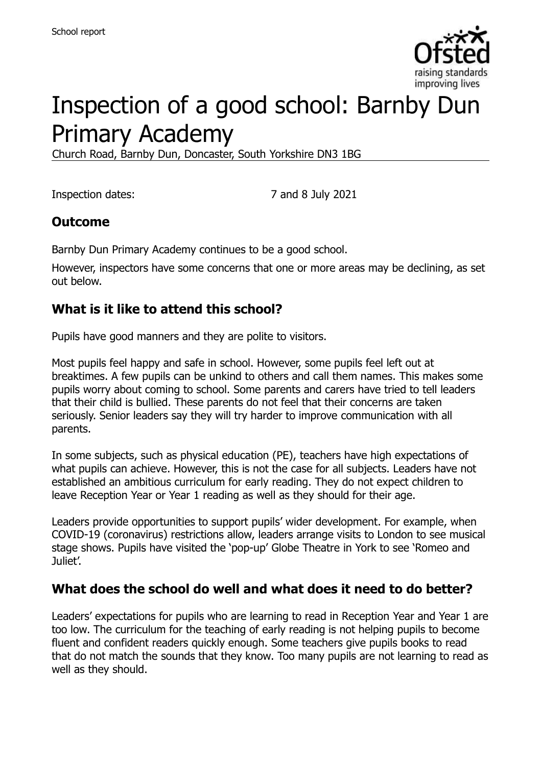

# Inspection of a good school: Barnby Dun Primary Academy

Church Road, Barnby Dun, Doncaster, South Yorkshire DN3 1BG

Inspection dates: 7 and 8 July 2021

### **Outcome**

Barnby Dun Primary Academy continues to be a good school.

However, inspectors have some concerns that one or more areas may be declining, as set out below.

### **What is it like to attend this school?**

Pupils have good manners and they are polite to visitors.

Most pupils feel happy and safe in school. However, some pupils feel left out at breaktimes. A few pupils can be unkind to others and call them names. This makes some pupils worry about coming to school. Some parents and carers have tried to tell leaders that their child is bullied. These parents do not feel that their concerns are taken seriously. Senior leaders say they will try harder to improve communication with all parents.

In some subjects, such as physical education (PE), teachers have high expectations of what pupils can achieve. However, this is not the case for all subjects. Leaders have not established an ambitious curriculum for early reading. They do not expect children to leave Reception Year or Year 1 reading as well as they should for their age.

Leaders provide opportunities to support pupils' wider development. For example, when COVID-19 (coronavirus) restrictions allow, leaders arrange visits to London to see musical stage shows. Pupils have visited the 'pop-up' Globe Theatre in York to see 'Romeo and Juliet'.

### **What does the school do well and what does it need to do better?**

Leaders' expectations for pupils who are learning to read in Reception Year and Year 1 are too low. The curriculum for the teaching of early reading is not helping pupils to become fluent and confident readers quickly enough. Some teachers give pupils books to read that do not match the sounds that they know. Too many pupils are not learning to read as well as they should.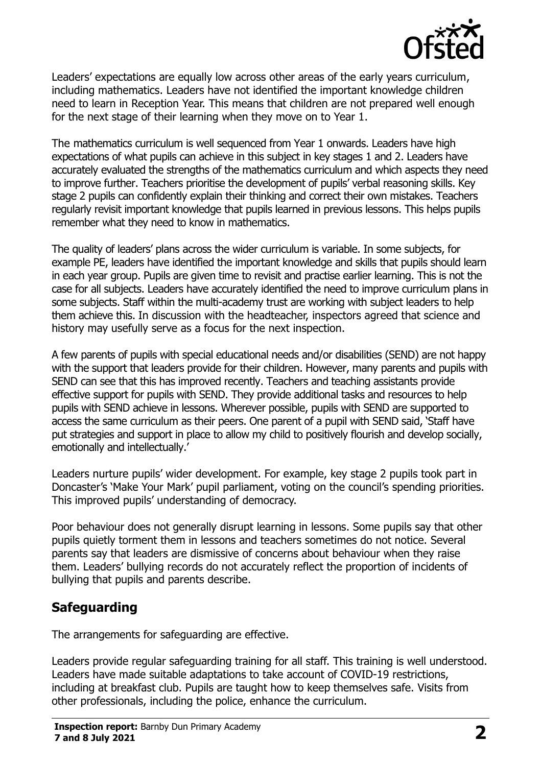

Leaders' expectations are equally low across other areas of the early years curriculum, including mathematics. Leaders have not identified the important knowledge children need to learn in Reception Year. This means that children are not prepared well enough for the next stage of their learning when they move on to Year 1.

The mathematics curriculum is well sequenced from Year 1 onwards. Leaders have high expectations of what pupils can achieve in this subject in key stages 1 and 2. Leaders have accurately evaluated the strengths of the mathematics curriculum and which aspects they need to improve further. Teachers prioritise the development of pupils' verbal reasoning skills. Key stage 2 pupils can confidently explain their thinking and correct their own mistakes. Teachers regularly revisit important knowledge that pupils learned in previous lessons. This helps pupils remember what they need to know in mathematics.

The quality of leaders' plans across the wider curriculum is variable. In some subjects, for example PE, leaders have identified the important knowledge and skills that pupils should learn in each year group. Pupils are given time to revisit and practise earlier learning. This is not the case for all subjects. Leaders have accurately identified the need to improve curriculum plans in some subjects. Staff within the multi-academy trust are working with subject leaders to help them achieve this. In discussion with the headteacher, inspectors agreed that science and history may usefully serve as a focus for the next inspection.

A few parents of pupils with special educational needs and/or disabilities (SEND) are not happy with the support that leaders provide for their children. However, many parents and pupils with SEND can see that this has improved recently. Teachers and teaching assistants provide effective support for pupils with SEND. They provide additional tasks and resources to help pupils with SEND achieve in lessons. Wherever possible, pupils with SEND are supported to access the same curriculum as their peers. One parent of a pupil with SEND said, 'Staff have put strategies and support in place to allow my child to positively flourish and develop socially, emotionally and intellectually.'

Leaders nurture pupils' wider development. For example, key stage 2 pupils took part in Doncaster's 'Make Your Mark' pupil parliament, voting on the council's spending priorities. This improved pupils' understanding of democracy.

Poor behaviour does not generally disrupt learning in lessons. Some pupils say that other pupils quietly torment them in lessons and teachers sometimes do not notice. Several parents say that leaders are dismissive of concerns about behaviour when they raise them. Leaders' bullying records do not accurately reflect the proportion of incidents of bullying that pupils and parents describe.

# **Safeguarding**

The arrangements for safeguarding are effective.

Leaders provide regular safeguarding training for all staff. This training is well understood. Leaders have made suitable adaptations to take account of COVID-19 restrictions, including at breakfast club. Pupils are taught how to keep themselves safe. Visits from other professionals, including the police, enhance the curriculum.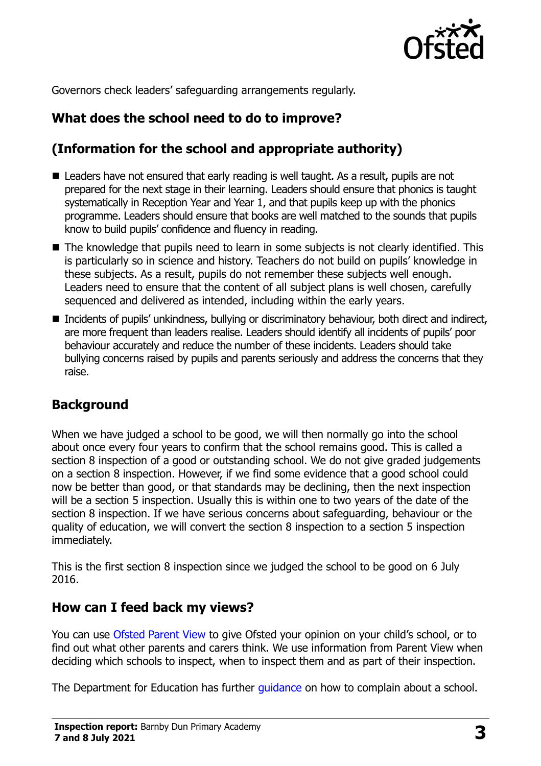

Governors check leaders' safeguarding arrangements regularly.

# **What does the school need to do to improve?**

# **(Information for the school and appropriate authority)**

- Leaders have not ensured that early reading is well taught. As a result, pupils are not prepared for the next stage in their learning. Leaders should ensure that phonics is taught systematically in Reception Year and Year 1, and that pupils keep up with the phonics programme. Leaders should ensure that books are well matched to the sounds that pupils know to build pupils' confidence and fluency in reading.
- The knowledge that pupils need to learn in some subjects is not clearly identified. This is particularly so in science and history. Teachers do not build on pupils' knowledge in these subjects. As a result, pupils do not remember these subjects well enough. Leaders need to ensure that the content of all subject plans is well chosen, carefully sequenced and delivered as intended, including within the early years.
- Incidents of pupils' unkindness, bullying or discriminatory behaviour, both direct and indirect, are more frequent than leaders realise. Leaders should identify all incidents of pupils' poor behaviour accurately and reduce the number of these incidents. Leaders should take bullying concerns raised by pupils and parents seriously and address the concerns that they raise.

### **Background**

When we have judged a school to be good, we will then normally go into the school about once every four years to confirm that the school remains good. This is called a section 8 inspection of a good or outstanding school. We do not give graded judgements on a section 8 inspection. However, if we find some evidence that a good school could now be better than good, or that standards may be declining, then the next inspection will be a section 5 inspection. Usually this is within one to two years of the date of the section 8 inspection. If we have serious concerns about safeguarding, behaviour or the quality of education, we will convert the section 8 inspection to a section 5 inspection immediately.

This is the first section 8 inspection since we judged the school to be good on 6 July 2016.

#### **How can I feed back my views?**

You can use [Ofsted Parent View](https://parentview.ofsted.gov.uk/) to give Ofsted your opinion on your child's school, or to find out what other parents and carers think. We use information from Parent View when deciding which schools to inspect, when to inspect them and as part of their inspection.

The Department for Education has further quidance on how to complain about a school.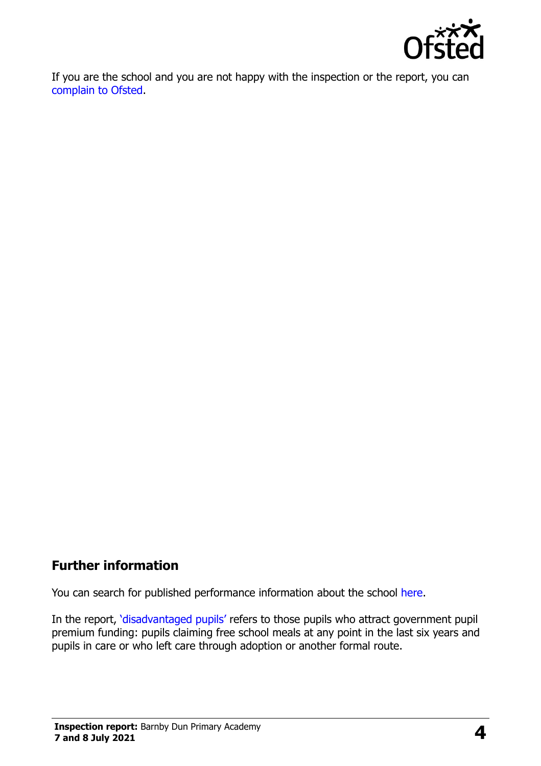

If you are the school and you are not happy with the inspection or the report, you can [complain to Ofsted.](https://www.gov.uk/complain-ofsted-report)

### **Further information**

You can search for published performance information about the school [here.](http://www.compare-school-performance.service.gov.uk/)

In the report, '[disadvantaged pupils](http://www.gov.uk/guidance/pupil-premium-information-for-schools-and-alternative-provision-settings)' refers to those pupils who attract government pupil premium funding: pupils claiming free school meals at any point in the last six years and pupils in care or who left care through adoption or another formal route.

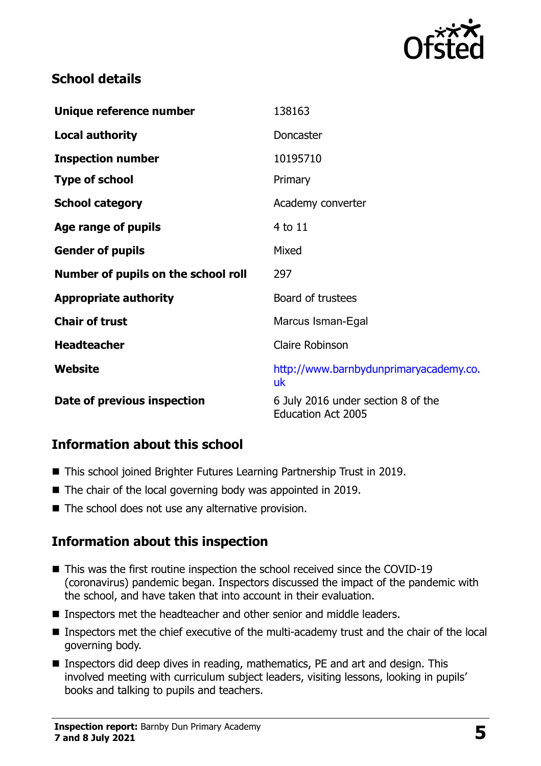

## **School details**

| Unique reference number             | 138163                                                          |
|-------------------------------------|-----------------------------------------------------------------|
| <b>Local authority</b>              | Doncaster                                                       |
| <b>Inspection number</b>            | 10195710                                                        |
| <b>Type of school</b>               | Primary                                                         |
| <b>School category</b>              | Academy converter                                               |
| Age range of pupils                 | 4 to 11                                                         |
| <b>Gender of pupils</b>             | Mixed                                                           |
| Number of pupils on the school roll | 297                                                             |
| <b>Appropriate authority</b>        | Board of trustees                                               |
| <b>Chair of trust</b>               | Marcus Isman-Egal                                               |
| <b>Headteacher</b>                  | <b>Claire Robinson</b>                                          |
| Website                             | http://www.barnbydunprimaryacademy.co.<br>uk                    |
| Date of previous inspection         | 6 July 2016 under section 8 of the<br><b>Education Act 2005</b> |

### **Information about this school**

- This school joined Brighter Futures Learning Partnership Trust in 2019.
- The chair of the local governing body was appointed in 2019.
- $\blacksquare$  The school does not use any alternative provision.

# **Information about this inspection**

- This was the first routine inspection the school received since the COVID-19 (coronavirus) pandemic began. Inspectors discussed the impact of the pandemic with the school, and have taken that into account in their evaluation.
- Inspectors met the headteacher and other senior and middle leaders.
- Inspectors met the chief executive of the multi-academy trust and the chair of the local governing body.
- Inspectors did deep dives in reading, mathematics, PE and art and design. This involved meeting with curriculum subject leaders, visiting lessons, looking in pupils' books and talking to pupils and teachers.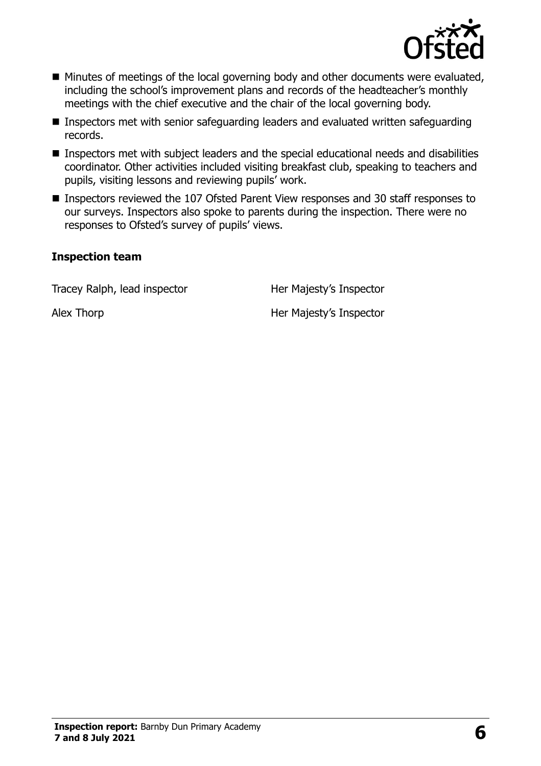

- Minutes of meetings of the local governing body and other documents were evaluated, including the school's improvement plans and records of the headteacher's monthly meetings with the chief executive and the chair of the local governing body.
- Inspectors met with senior safeguarding leaders and evaluated written safeguarding records.
- Inspectors met with subject leaders and the special educational needs and disabilities coordinator. Other activities included visiting breakfast club, speaking to teachers and pupils, visiting lessons and reviewing pupils' work.
- Inspectors reviewed the 107 Ofsted Parent View responses and 30 staff responses to our surveys. Inspectors also spoke to parents during the inspection. There were no responses to Ofsted's survey of pupils' views.

#### **Inspection team**

Tracey Ralph, lead inspector **Her Majesty's Inspector** 

Alex Thorp **Alex Thorp Her Majesty's Inspector**